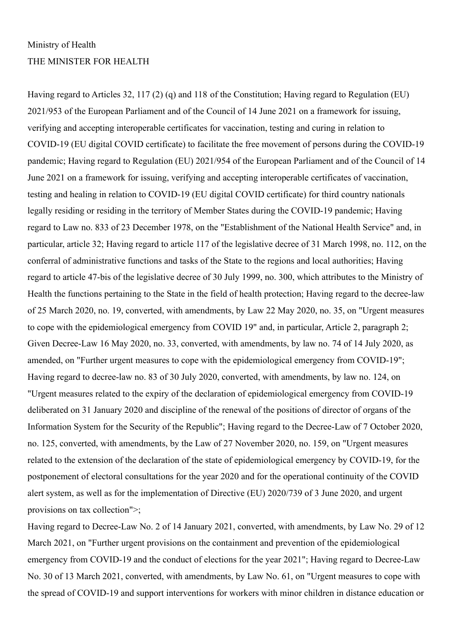# Ministry of Health THE MINISTER FOR HEALTH

Having regard to Articles 32, 117 (2) (q) and 118 of the Constitution; Having regard to Regulation (EU) 2021/953 of the European Parliament and of the Council of 14 June 2021 on a framework for issuing, verifying and accepting interoperable certificates for vaccination, testing and curing in relation to COVID-19 (EU digital COVID certificate) to facilitate the free movement of persons during the COVID-19 pandemic; Having regard to Regulation (EU) 2021/954 of the European Parliament and of the Council of 14 June 2021 on a framework for issuing, verifying and accepting interoperable certificates of vaccination, testing and healing in relation to COVID-19 (EU digital COVID certificate) for third country nationals legally residing or residing in the territory of Member States during the COVID-19 pandemic; Having regard to Law no. 833 of 23 December 1978, on the "Establishment of the National Health Service" and, in particular, article 32; Having regard to article 117 of the legislative decree of 31 March 1998, no. 112, on the conferral of administrative functions and tasks of the State to the regions and local authorities; Having regard to article 47-bis of the legislative decree of 30 July 1999, no. 300, which attributes to the Ministry of Health the functions pertaining to the State in the field of health protection; Having regard to the decree-law of 25 March 2020, no. 19, converted, with amendments, by Law 22 May 2020, no. 35, on "Urgent measures to cope with the epidemiological emergency from COVID 19" and, in particular, Article 2, paragraph 2; Given Decree-Law 16 May 2020, no. 33, converted, with amendments, by law no. 74 of 14 July 2020, as amended, on "Further urgent measures to cope with the epidemiological emergency from COVID-19"; Having regard to decree-law no. 83 of 30 July 2020, converted, with amendments, by law no. 124, on "Urgent measures related to the expiry of the declaration of epidemiological emergency from COVID-19 deliberated on 31 January 2020 and discipline of the renewal of the positions of director of organs of the Information System for the Security of the Republic"; Having regard to the Decree-Law of 7 October 2020, no. 125, converted, with amendments, by the Law of 27 November 2020, no. 159, on "Urgent measures related to the extension of the declaration of the state of epidemiological emergency by COVID-19, for the postponement of electoral consultations for the year 2020 and for the operational continuity of the COVID alert system, as well as for the implementation of Directive (EU) 2020/739 of 3 June 2020, and urgent provisions on tax collection">;

Having regard to Decree-Law No. 2 of 14 January 2021, converted, with amendments, by Law No. 29 of 12 March 2021, on "Further urgent provisions on the containment and prevention of the epidemiological emergency from COVID-19 and the conduct of elections for the year 2021"; Having regard to Decree-Law No. 30 of 13 March 2021, converted, with amendments, by Law No. 61, on "Urgent measures to cope with the spread of COVID-19 and support interventions for workers with minor children in distance education or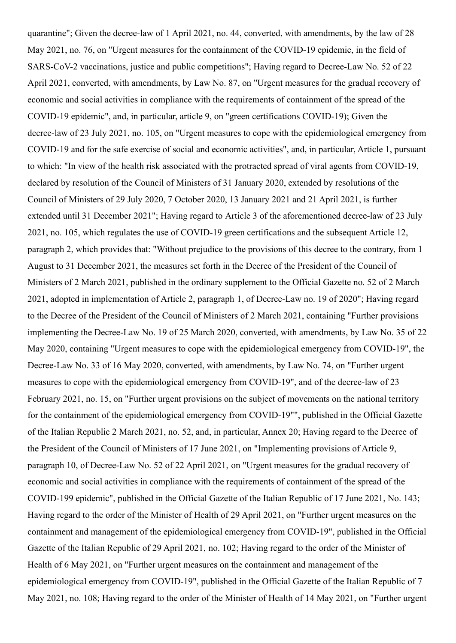quarantine"; Given the decree-law of 1 April 2021, no. 44, converted, with amendments, by the law of 28 May 2021, no. 76, on "Urgent measures for the containment of the COVID-19 epidemic, in the field of SARS-CoV-2 vaccinations, justice and public competitions"; Having regard to Decree-Law No. 52 of 22 April 2021, converted, with amendments, by Law No. 87, on "Urgent measures for the gradual recovery of economic and social activities in compliance with the requirements of containment of the spread of the COVID-19 epidemic", and, in particular, article 9, on "green certifications COVID-19); Given the decree-law of 23 July 2021, no. 105, on "Urgent measures to cope with the epidemiological emergency from COVID-19 and for the safe exercise of social and economic activities", and, in particular, Article 1, pursuant to which: "In view of the health risk associated with the protracted spread of viral agents from COVID-19, declared by resolution of the Council of Ministers of 31 January 2020, extended by resolutions of the Council of Ministers of 29 July 2020, 7 October 2020, 13 January 2021 and 21 April 2021, is further extended until 31 December 2021"; Having regard to Article 3 of the aforementioned decree-law of 23 July 2021, no. 105, which regulates the use of COVID-19 green certifications and the subsequent Article 12, paragraph 2, which provides that: "Without prejudice to the provisions of this decree to the contrary, from 1 August to 31 December 2021, the measures set forth in the Decree of the President of the Council of Ministers of 2 March 2021, published in the ordinary supplement to the Official Gazette no. 52 of 2 March 2021, adopted in implementation of Article 2, paragraph 1, of Decree-Law no. 19 of 2020"; Having regard to the Decree of the President of the Council of Ministers of 2 March 2021, containing "Further provisions implementing the Decree-Law No. 19 of 25 March 2020, converted, with amendments, by Law No. 35 of 22 May 2020, containing "Urgent measures to cope with the epidemiological emergency from COVID-19", the Decree-Law No. 33 of 16 May 2020, converted, with amendments, by Law No. 74, on "Further urgent measures to cope with the epidemiological emergency from COVID-19", and of the decree-law of 23 February 2021, no. 15, on "Further urgent provisions on the subject of movements on the national territory for the containment of the epidemiological emergency from COVID-19"", published in the Official Gazette of the Italian Republic 2 March 2021, no. 52, and, in particular, Annex 20; Having regard to the Decree of the President of the Council of Ministers of 17 June 2021, on "Implementing provisions of Article 9, paragraph 10, of Decree-Law No. 52 of 22 April 2021, on "Urgent measures for the gradual recovery of economic and social activities in compliance with the requirements of containment of the spread of the COVID-199 epidemic", published in the Official Gazette of the Italian Republic of 17 June 2021, No. 143; Having regard to the order of the Minister of Health of 29 April 2021, on "Further urgent measures on the containment and management of the epidemiological emergency from COVID-19", published in the Official Gazette of the Italian Republic of 29 April 2021, no. 102; Having regard to the order of the Minister of Health of 6 May 2021, on "Further urgent measures on the containment and management of the epidemiological emergency from COVID-19", published in the Official Gazette of the Italian Republic of 7 May 2021, no. 108; Having regard to the order of the Minister of Health of 14 May 2021, on "Further urgent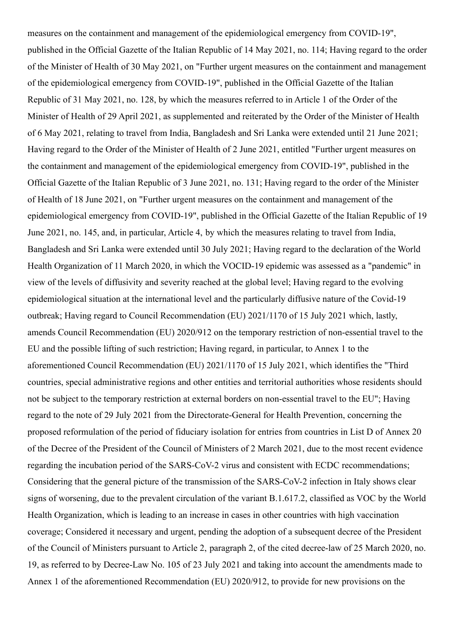measures on the containment and management of the epidemiological emergency from COVID-19", published in the Official Gazette of the Italian Republic of 14 May 2021, no. 114; Having regard to the order of the Minister of Health of 30 May 2021, on "Further urgent measures on the containment and management of the epidemiological emergency from COVID-19", published in the Official Gazette of the Italian Republic of 31 May 2021, no. 128, by which the measures referred to in Article 1 of the Order of the Minister of Health of 29 April 2021, as supplemented and reiterated by the Order of the Minister of Health of 6 May 2021, relating to travel from India, Bangladesh and Sri Lanka were extended until 21 June 2021; Having regard to the Order of the Minister of Health of 2 June 2021, entitled "Further urgent measures on the containment and management of the epidemiological emergency from COVID-19", published in the Official Gazette of the Italian Republic of 3 June 2021, no. 131; Having regard to the order of the Minister of Health of 18 June 2021, on "Further urgent measures on the containment and management of the epidemiological emergency from COVID-19", published in the Official Gazette of the Italian Republic of 19 June 2021, no. 145, and, in particular, Article 4, by which the measures relating to travel from India, Bangladesh and Sri Lanka were extended until 30 July 2021; Having regard to the declaration of the World Health Organization of 11 March 2020, in which the VOCID-19 epidemic was assessed as a "pandemic" in view of the levels of diffusivity and severity reached at the global level; Having regard to the evolving epidemiological situation at the international level and the particularly diffusive nature of the Covid-19 outbreak; Having regard to Council Recommendation (EU) 2021/1170 of 15 July 2021 which, lastly, amends Council Recommendation (EU) 2020/912 on the temporary restriction of non-essential travel to the EU and the possible lifting of such restriction; Having regard, in particular, to Annex 1 to the aforementioned Council Recommendation (EU) 2021/1170 of 15 July 2021, which identifies the "Third countries, special administrative regions and other entities and territorial authorities whose residents should not be subject to the temporary restriction at external borders on non-essential travel to the EU"; Having regard to the note of 29 July 2021 from the Directorate-General for Health Prevention, concerning the proposed reformulation of the period of fiduciary isolation for entries from countries in List D of Annex 20 of the Decree of the President of the Council of Ministers of 2 March 2021, due to the most recent evidence regarding the incubation period of the SARS-CoV-2 virus and consistent with ECDC recommendations; Considering that the general picture of the transmission of the SARS-CoV-2 infection in Italy shows clear signs of worsening, due to the prevalent circulation of the variant B.1.617.2, classified as VOC by the World Health Organization, which is leading to an increase in cases in other countries with high vaccination coverage; Considered it necessary and urgent, pending the adoption of a subsequent decree of the President of the Council of Ministers pursuant to Article 2, paragraph 2, of the cited decree-law of 25 March 2020, no. 19, as referred to by Decree-Law No. 105 of 23 July 2021 and taking into account the amendments made to Annex 1 of the aforementioned Recommendation (EU) 2020/912, to provide for new provisions on the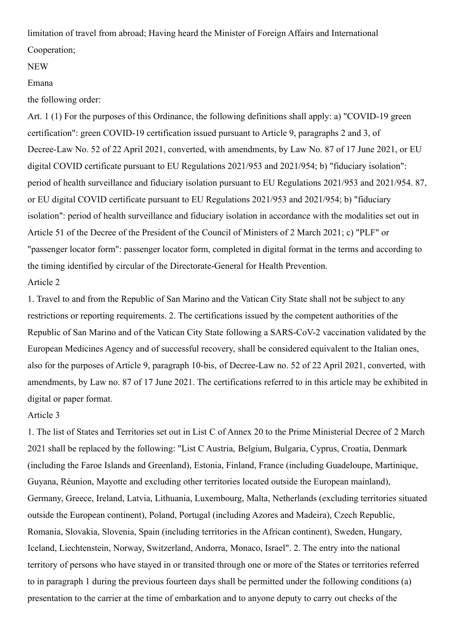limitation of travel from abroad; Having heard the Minister of Foreign Affairs and International Cooperation;

### NEW

#### Emana

the following order:

Art. 1 (1) For the purposes of this Ordinance, the following definitions shall apply: a) "COVID-19 green certification": green COVID-19 certification issued pursuant to Article 9, paragraphs 2 and 3, of Decree-Law No. 52 of 22 April 2021, converted, with amendments, by Law No. 87 of 17 June 2021, or EU digital COVID certificate pursuant to EU Regulations 2021/953 and 2021/954; b) "fiduciary isolation": period of health surveillance and fiduciary isolation pursuant to EU Regulations 2021/953 and 2021/954. 87, or EU digital COVID certificate pursuant to EU Regulations 2021/953 and 2021/954; b) "fiduciary isolation": period of health surveillance and fiduciary isolation in accordance with the modalities set out in Article 51 of the Decree of the President of the Council of Ministers of 2 March 2021; c) "PLF" or "passenger locator form": passenger locator form, completed in digital format in the terms and according to the timing identified by circular of the Directorate-General for Health Prevention. Article 2

# 1. Travel to and from the Republic of San Marino and the Vatican City State shall not be subject to any restrictions or reporting requirements. 2. The certifications issued by the competent authorities of the Republic of San Marino and of the Vatican City State following a SARS-CoV-2 vaccination validated by the European Medicines Agency and of successful recovery, shall be considered equivalent to the Italian ones, also for the purposes of Article 9, paragraph 10-bis, of Decree-Law no. 52 of 22 April 2021, converted, with amendments, by Law no. 87 of 17 June 2021. The certifications referred to in this article may be exhibited in digital or paper format.

## Article 3

1. The list of States and Territories set out in List C of Annex 20 to the Prime Ministerial Decree of 2 March 2021 shall be replaced by the following: "List C Austria, Belgium, Bulgaria, Cyprus, Croatia, Denmark (including the Faroe Islands and Greenland), Estonia, Finland, France (including Guadeloupe, Martinique, Guyana, Réunion, Mayotte and excluding other territories located outside the European mainland), Germany, Greece, Ireland, Latvia, Lithuania, Luxembourg, Malta, Netherlands (excluding territories situated outside the European continent), Poland, Portugal (including Azores and Madeira), Czech Republic, Romania, Slovakia, Slovenia, Spain (including territories in the African continent), Sweden, Hungary, Iceland, Liechtenstein, Norway, Switzerland, Andorra, Monaco, Israel". 2. The entry into the national territory of persons who have stayed in or transited through one or more of the States or territories referred to in paragraph 1 during the previous fourteen days shall be permitted under the following conditions (a) presentation to the carrier at the time of embarkation and to anyone deputy to carry out checks of the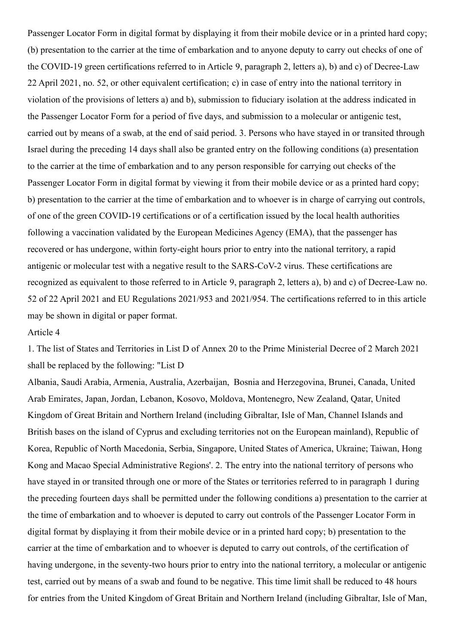Passenger Locator Form in digital format by displaying it from their mobile device or in a printed hard copy; (b) presentation to the carrier at the time of embarkation and to anyone deputy to carry out checks of one of the COVID-19 green certifications referred to in Article 9, paragraph 2, letters a), b) and c) of Decree-Law 22 April 2021, no. 52, or other equivalent certification; c) in case of entry into the national territory in violation of the provisions of letters a) and b), submission to fiduciary isolation at the address indicated in the Passenger Locator Form for a period of five days, and submission to a molecular or antigenic test, carried out by means of a swab, at the end of said period. 3. Persons who have stayed in or transited through Israel during the preceding 14 days shall also be granted entry on the following conditions (a) presentation to the carrier at the time of embarkation and to any person responsible for carrying out checks of the Passenger Locator Form in digital format by viewing it from their mobile device or as a printed hard copy; b) presentation to the carrier at the time of embarkation and to whoever is in charge of carrying out controls, of one of the green COVID-19 certifications or of a certification issued by the local health authorities following a vaccination validated by the European Medicines Agency (EMA), that the passenger has recovered or has undergone, within forty-eight hours prior to entry into the national territory, a rapid antigenic or molecular test with a negative result to the SARS-CoV-2 virus. These certifications are recognized as equivalent to those referred to in Article 9, paragraph 2, letters a), b) and c) of Decree-Law no. 52 of 22 April 2021 and EU Regulations 2021/953 and 2021/954. The certifications referred to in this article may be shown in digital or paper format.

#### Article 4

1. The list of States and Territories in List D of Annex 20 to the Prime Ministerial Decree of 2 March 2021 shall be replaced by the following: "List D

Albania, Saudi Arabia, Armenia, Australia, Azerbaijan, Bosnia and Herzegovina, Brunei, Canada, United Arab Emirates, Japan, Jordan, Lebanon, Kosovo, Moldova, Montenegro, New Zealand, Qatar, United Kingdom of Great Britain and Northern Ireland (including Gibraltar, Isle of Man, Channel Islands and British bases on the island of Cyprus and excluding territories not on the European mainland), Republic of Korea, Republic of North Macedonia, Serbia, Singapore, United States of America, Ukraine; Taiwan, Hong Kong and Macao Special Administrative Regions'. 2. The entry into the national territory of persons who have stayed in or transited through one or more of the States or territories referred to in paragraph 1 during the preceding fourteen days shall be permitted under the following conditions a) presentation to the carrier at the time of embarkation and to whoever is deputed to carry out controls of the Passenger Locator Form in digital format by displaying it from their mobile device or in a printed hard copy; b) presentation to the carrier at the time of embarkation and to whoever is deputed to carry out controls, of the certification of having undergone, in the seventy-two hours prior to entry into the national territory, a molecular or antigenic test, carried out by means of a swab and found to be negative. This time limit shall be reduced to 48 hours for entries from the United Kingdom of Great Britain and Northern Ireland (including Gibraltar, Isle of Man,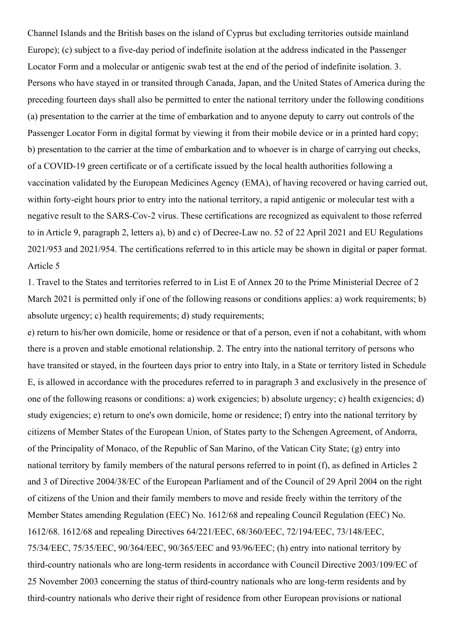Channel Islands and the British bases on the island of Cyprus but excluding territories outside mainland Europe); (c) subject to a five-day period of indefinite isolation at the address indicated in the Passenger Locator Form and a molecular or antigenic swab test at the end of the period of indefinite isolation. 3. Persons who have stayed in or transited through Canada, Japan, and the United States of America during the preceding fourteen days shall also be permitted to enter the national territory under the following conditions (a) presentation to the carrier at the time of embarkation and to anyone deputy to carry out controls of the Passenger Locator Form in digital format by viewing it from their mobile device or in a printed hard copy; b) presentation to the carrier at the time of embarkation and to whoever is in charge of carrying out checks, of a COVID-19 green certificate or of a certificate issued by the local health authorities following a vaccination validated by the European Medicines Agency (EMA), of having recovered or having carried out, within forty-eight hours prior to entry into the national territory, a rapid antigenic or molecular test with a negative result to the SARS-Cov-2 virus. These certifications are recognized as equivalent to those referred to in Article 9, paragraph 2, letters a), b) and c) of Decree-Law no. 52 of 22 April 2021 and EU Regulations 2021/953 and 2021/954. The certifications referred to in this article may be shown in digital or paper format. Article 5

1. Travel to the States and territories referred to in List E of Annex 20 to the Prime Ministerial Decree of 2 March 2021 is permitted only if one of the following reasons or conditions applies: a) work requirements; b) absolute urgency; c) health requirements; d) study requirements;

e) return to his/her own domicile, home or residence or that of a person, even if not a cohabitant, with whom there is a proven and stable emotional relationship. 2. The entry into the national territory of persons who have transited or stayed, in the fourteen days prior to entry into Italy, in a State or territory listed in Schedule E, is allowed in accordance with the procedures referred to in paragraph 3 and exclusively in the presence of one of the following reasons or conditions: a) work exigencies; b) absolute urgency; c) health exigencies; d) study exigencies; e) return to one's own domicile, home or residence; f) entry into the national territory by citizens of Member States of the European Union, of States party to the Schengen Agreement, of Andorra, of the Principality of Monaco, of the Republic of San Marino, of the Vatican City State; (g) entry into national territory by family members of the natural persons referred to in point (f), as defined in Articles 2 and 3 of Directive 2004/38/EC of the European Parliament and of the Council of 29 April 2004 on the right of citizens of the Union and their family members to move and reside freely within the territory of the Member States amending Regulation (EEC) No. 1612/68 and repealing Council Regulation (EEC) No. 1612/68. 1612/68 and repealing Directives 64/221/EEC, 68/360/EEC, 72/194/EEC, 73/148/EEC, 75/34/EEC, 75/35/EEC, 90/364/EEC, 90/365/EEC and 93/96/EEC; (h) entry into national territory by third-country nationals who are long-term residents in accordance with Council Directive 2003/109/EC of 25 November 2003 concerning the status of third-country nationals who are long-term residents and by third-country nationals who derive their right of residence from other European provisions or national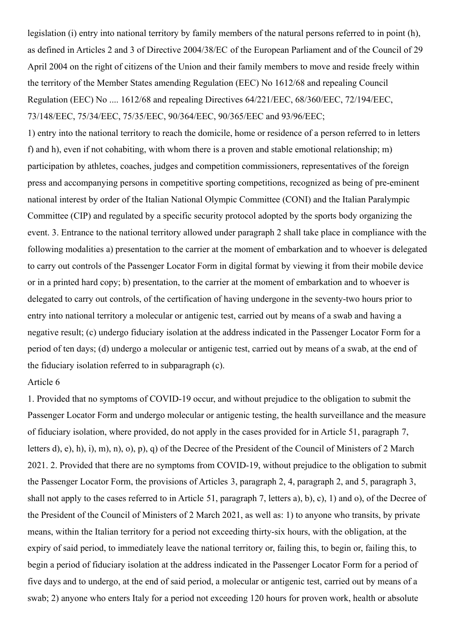legislation (i) entry into national territory by family members of the natural persons referred to in point (h), as defined in Articles 2 and 3 of Directive 2004/38/EC of the European Parliament and of the Council of 29 April 2004 on the right of citizens of the Union and their family members to move and reside freely within the territory of the Member States amending Regulation (EEC) No 1612/68 and repealing Council Regulation (EEC) No .... 1612/68 and repealing Directives 64/221/EEC, 68/360/EEC, 72/194/EEC, 73/148/EEC, 75/34/EEC, 75/35/EEC, 90/364/EEC, 90/365/EEC and 93/96/EEC;

1) entry into the national territory to reach the domicile, home or residence of a person referred to in letters f) and h), even if not cohabiting, with whom there is a proven and stable emotional relationship; m) participation by athletes, coaches, judges and competition commissioners, representatives of the foreign press and accompanying persons in competitive sporting competitions, recognized as being of pre-eminent national interest by order of the Italian National Olympic Committee (CONI) and the Italian Paralympic Committee (CIP) and regulated by a specific security protocol adopted by the sports body organizing the event. 3. Entrance to the national territory allowed under paragraph 2 shall take place in compliance with the following modalities a) presentation to the carrier at the moment of embarkation and to whoever is delegated to carry out controls of the Passenger Locator Form in digital format by viewing it from their mobile device or in a printed hard copy; b) presentation, to the carrier at the moment of embarkation and to whoever is delegated to carry out controls, of the certification of having undergone in the seventy-two hours prior to entry into national territory a molecular or antigenic test, carried out by means of a swab and having a negative result; (c) undergo fiduciary isolation at the address indicated in the Passenger Locator Form for a period of ten days; (d) undergo a molecular or antigenic test, carried out by means of a swab, at the end of the fiduciary isolation referred to in subparagraph (c).

#### Article 6

1. Provided that no symptoms of COVID-19 occur, and without prejudice to the obligation to submit the Passenger Locator Form and undergo molecular or antigenic testing, the health surveillance and the measure of fiduciary isolation, where provided, do not apply in the cases provided for in Article 51, paragraph 7, letters d), e), h), i), m), n), o), p), q) of the Decree of the President of the Council of Ministers of 2 March 2021. 2. Provided that there are no symptoms from COVID-19, without prejudice to the obligation to submit the Passenger Locator Form, the provisions of Articles 3, paragraph 2, 4, paragraph 2, and 5, paragraph 3, shall not apply to the cases referred to in Article 51, paragraph 7, letters a), b), c), 1) and o), of the Decree of the President of the Council of Ministers of 2 March 2021, as well as: 1) to anyone who transits, by private means, within the Italian territory for a period not exceeding thirty-six hours, with the obligation, at the expiry of said period, to immediately leave the national territory or, failing this, to begin or, failing this, to begin a period of fiduciary isolation at the address indicated in the Passenger Locator Form for a period of five days and to undergo, at the end of said period, a molecular or antigenic test, carried out by means of a swab; 2) anyone who enters Italy for a period not exceeding 120 hours for proven work, health or absolute